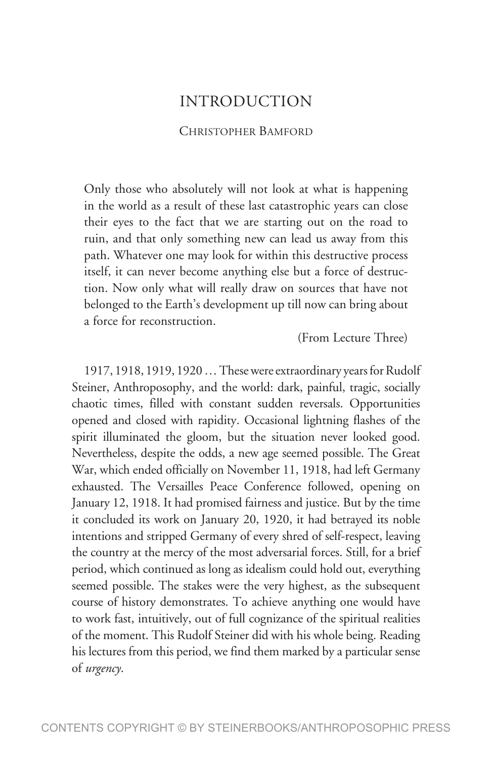## INTRODUCTION

## CHRISTOPHER BAMFORD

Only those who absolutely will not look at what is happening in the world as a result of these last catastrophic years can close their eyes to the fact that we are starting out on the road to ruin, and that only something new can lead us away from this path. Whatever one may look for within this destructive process itself, it can never become anything else but a force of destruction. Now only what will really draw on sources that have not belonged to the Earth's development up till now can bring about a force for reconstruction.

(From Lecture Three)

1917, 1918, 1919, 1920 … These were extraordinary years for Rudolf Steiner, Anthroposophy, and the world: dark, painful, tragic, socially chaotic times, filled with constant sudden reversals. Opportunities opened and closed with rapidity. Occasional lightning flashes of the spirit illuminated the gloom, but the situation never looked good. Nevertheless, despite the odds, a new age seemed possible. The Great War, which ended officially on November 11, 1918, had left Germany exhausted. The Versailles Peace Conference followed, opening on January 12, 1918. It had promised fairness and justice. But by the time it concluded its work on January 20, 1920, it had betrayed its noble intentions and stripped Germany of every shred of self-respect, leaving the country at the mercy of the most adversarial forces. Still, for a brief period, which continued as long as idealism could hold out, everything seemed possible. The stakes were the very highest, as the subsequent course of history demonstrates. To achieve anything one would have to work fast, intuitively, out of full cognizance of the spiritual realities of the moment. This Rudolf Steiner did with his whole being. Reading his lectures from this period, we find them marked by a particular sense of *urgency*.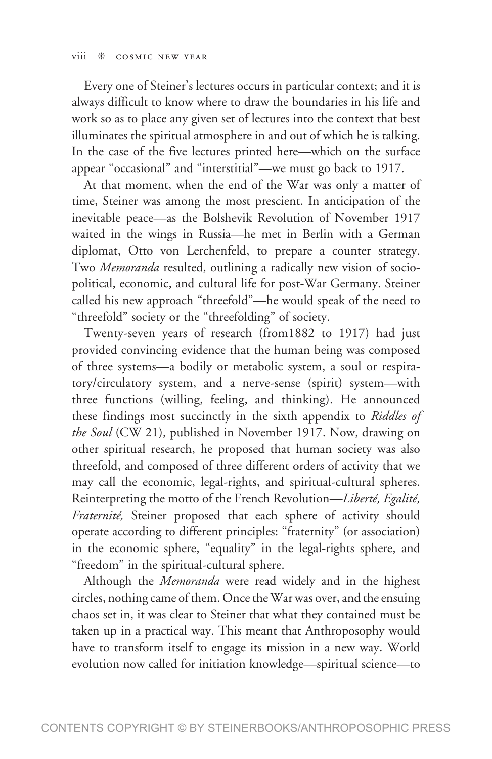Every one of Steiner's lectures occurs in particular context; and it is always difficult to know where to draw the boundaries in his life and work so as to place any given set of lectures into the context that best illuminates the spiritual atmosphere in and out of which he is talking. In the case of the five lectures printed here—which on the surface appear "occasional" and "interstitial"—we must go back to 1917.

At that moment, when the end of the War was only a matter of time, Steiner was among the most prescient. In anticipation of the inevitable peace—as the Bolshevik Revolution of November 1917 waited in the wings in Russia—he met in Berlin with a German diplomat, Otto von Lerchenfeld, to prepare a counter strategy. Two *Memoranda* resulted, outlining a radically new vision of sociopolitical, economic, and cultural life for post-War Germany. Steiner called his new approach "threefold"—he would speak of the need to "threefold" society or the "threefolding" of society.

Twenty-seven years of research (from1882 to 1917) had just provided convincing evidence that the human being was composed of three systems—a bodily or metabolic system, a soul or respiratory/circulatory system, and a nerve-sense (spirit) system—with three functions (willing, feeling, and thinking). He announced these findings most succinctly in the sixth appendix to *Riddles of the Soul* (CW 21), published in November 1917. Now, drawing on other spiritual research, he proposed that human society was also threefold, and composed of three different orders of activity that we may call the economic, legal-rights, and spiritual-cultural spheres. Reinterpreting the motto of the French Revolution—*Liberté, Egalité, Fraternité,* Steiner proposed that each sphere of activity should operate according to different principles: "fraternity" (or association) in the economic sphere, "equality" in the legal-rights sphere, and "freedom" in the spiritual-cultural sphere.

Although the *Memoranda* were read widely and in the highest circles, nothing came of them. Once the War was over, and the ensuing chaos set in, it was clear to Steiner that what they contained must be taken up in a practical way. This meant that Anthroposophy would have to transform itself to engage its mission in a new way. World evolution now called for initiation knowledge—spiritual science—to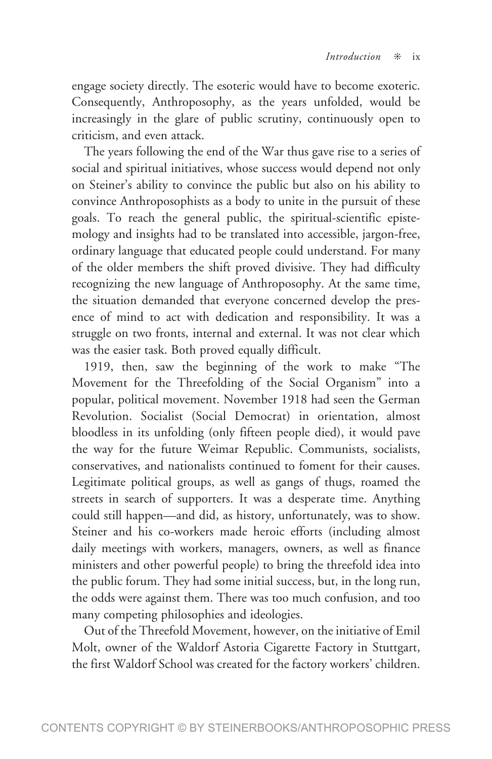engage society directly. The esoteric would have to become exoteric. Consequently, Anthroposophy, as the years unfolded, would be increasingly in the glare of public scrutiny, continuously open to criticism, and even attack.

The years following the end of the War thus gave rise to a series of social and spiritual initiatives, whose success would depend not only on Steiner's ability to convince the public but also on his ability to convince Anthroposophists as a body to unite in the pursuit of these goals. To reach the general public, the spiritual-scientific epistemology and insights had to be translated into accessible, jargon-free, ordinary language that educated people could understand. For many of the older members the shift proved divisive. They had difficulty recognizing the new language of Anthroposophy. At the same time, the situation demanded that everyone concerned develop the presence of mind to act with dedication and responsibility. It was a struggle on two fronts, internal and external. It was not clear which was the easier task. Both proved equally difficult.

1919, then, saw the beginning of the work to make "The Movement for the Threefolding of the Social Organism" into a popular, political movement. November 1918 had seen the German Revolution. Socialist (Social Democrat) in orientation, almost bloodless in its unfolding (only fifteen people died), it would pave the way for the future Weimar Republic. Communists, socialists, conservatives, and nationalists continued to foment for their causes. Legitimate political groups, as well as gangs of thugs, roamed the streets in search of supporters. It was a desperate time. Anything could still happen—and did, as history, unfortunately, was to show. Steiner and his co-workers made heroic efforts (including almost daily meetings with workers, managers, owners, as well as finance ministers and other powerful people) to bring the threefold idea into the public forum. They had some initial success, but, in the long run, the odds were against them. There was too much confusion, and too many competing philosophies and ideologies.

Out of the Threefold Movement, however, on the initiative of Emil Molt, owner of the Waldorf Astoria Cigarette Factory in Stuttgart, the first Waldorf School was created for the factory workers' children.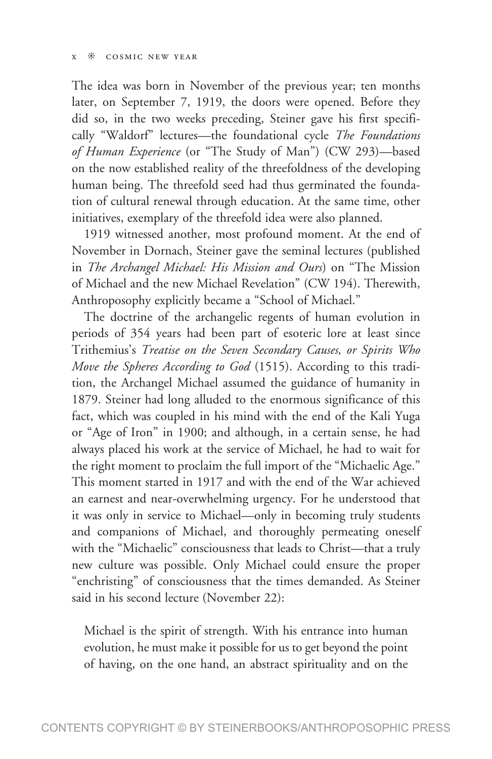The idea was born in November of the previous year; ten months later, on September 7, 1919, the doors were opened. Before they did so, in the two weeks preceding, Steiner gave his first specifically "Waldorf" lectures—the foundational cycle *The Foundations of Human Experience* (or "The Study of Man") (CW 293)—based on the now established reality of the threefoldness of the developing human being. The threefold seed had thus germinated the foundation of cultural renewal through education. At the same time, other initiatives, exemplary of the threefold idea were also planned.

1919 witnessed another, most profound moment. At the end of November in Dornach, Steiner gave the seminal lectures (published in *The Archangel Michael: His Mission and Ours*) on "The Mission of Michael and the new Michael Revelation" (CW 194). Therewith, Anthroposophy explicitly became a "School of Michael."

The doctrine of the archangelic regents of human evolution in periods of 354 years had been part of esoteric lore at least since Trithemius's *Treatise on the Seven Secondary Causes, or Spirits Who Move the Spheres According to God* (1515). According to this tradition, the Archangel Michael assumed the guidance of humanity in 1879. Steiner had long alluded to the enormous significance of this fact, which was coupled in his mind with the end of the Kali Yuga or "Age of Iron" in 1900; and although, in a certain sense, he had always placed his work at the service of Michael, he had to wait for the right moment to proclaim the full import of the "Michaelic Age." This moment started in 1917 and with the end of the War achieved an earnest and near-overwhelming urgency. For he understood that it was only in service to Michael—only in becoming truly students and companions of Michael, and thoroughly permeating oneself with the "Michaelic" consciousness that leads to Christ—that a truly new culture was possible. Only Michael could ensure the proper "enchristing" of consciousness that the times demanded. As Steiner said in his second lecture (November 22):

Michael is the spirit of strength. With his entrance into human evolution, he must make it possible for us to get beyond the point of having, on the one hand, an abstract spirituality and on the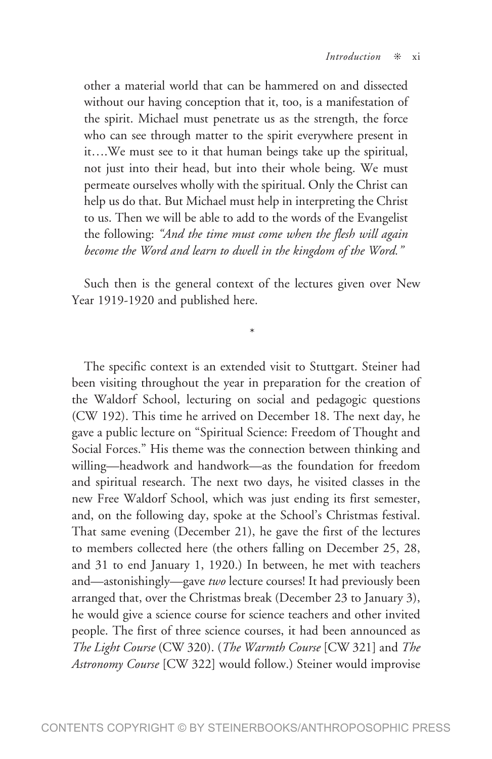other a material world that can be hammered on and dissected without our having conception that it, too, is a manifestation of the spirit. Michael must penetrate us as the strength, the force who can see through matter to the spirit everywhere present in it….We must see to it that human beings take up the spiritual, not just into their head, but into their whole being. We must permeate ourselves wholly with the spiritual. Only the Christ can help us do that. But Michael must help in interpreting the Christ to us. Then we will be able to add to the words of the Evangelist the following: *"And the time must come when the flesh will again become the Word and learn to dwell in the kingdom of the Word."*

Such then is the general context of the lectures given over New Year 1919-1920 and published here.

\*

The specific context is an extended visit to Stuttgart. Steiner had been visiting throughout the year in preparation for the creation of the Waldorf School, lecturing on social and pedagogic questions (CW 192). This time he arrived on December 18. The next day, he gave a public lecture on "Spiritual Science: Freedom of Thought and Social Forces." His theme was the connection between thinking and willing—headwork and handwork—as the foundation for freedom and spiritual research. The next two days, he visited classes in the new Free Waldorf School, which was just ending its first semester, and, on the following day, spoke at the School's Christmas festival. That same evening (December 21), he gave the first of the lectures to members collected here (the others falling on December 25, 28, and 31 to end January 1, 1920.) In between, he met with teachers and—astonishingly—gave *two* lecture courses! It had previously been arranged that, over the Christmas break (December 23 to January 3), he would give a science course for science teachers and other invited people. The first of three science courses, it had been announced as *The Light Course* (CW 320). (*The Warmth Course* [CW 321] and *The Astronomy Course* [CW 322] would follow.) Steiner would improvise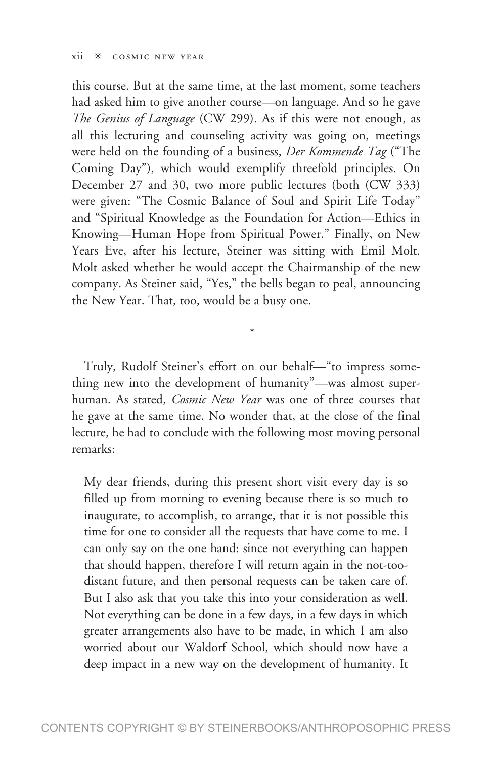this course. But at the same time, at the last moment, some teachers had asked him to give another course—on language. And so he gave *The Genius of Language* (CW 299). As if this were not enough, as all this lecturing and counseling activity was going on, meetings were held on the founding of a business, *Der Kommende Tag* ("The Coming Day"), which would exemplify threefold principles. On December 27 and 30, two more public lectures (both (CW 333) were given: "The Cosmic Balance of Soul and Spirit Life Today" and "Spiritual Knowledge as the Foundation for Action—Ethics in Knowing—Human Hope from Spiritual Power." Finally, on New Years Eve, after his lecture, Steiner was sitting with Emil Molt. Molt asked whether he would accept the Chairmanship of the new company. As Steiner said, "Yes," the bells began to peal, announcing the New Year. That, too, would be a busy one.

Truly, Rudolf Steiner's effort on our behalf—"to impress something new into the development of humanity"—was almost superhuman. As stated, *Cosmic New Year* was one of three courses that he gave at the same time. No wonder that, at the close of the final lecture, he had to conclude with the following most moving personal remarks:

\*

My dear friends, during this present short visit every day is so filled up from morning to evening because there is so much to inaugurate, to accomplish, to arrange, that it is not possible this time for one to consider all the requests that have come to me. I can only say on the one hand: since not everything can happen that should happen, therefore I will return again in the not-toodistant future, and then personal requests can be taken care of. But I also ask that you take this into your consideration as well. Not everything can be done in a few days, in a few days in which greater arrangements also have to be made, in which I am also worried about our Waldorf School, which should now have a deep impact in a new way on the development of humanity. It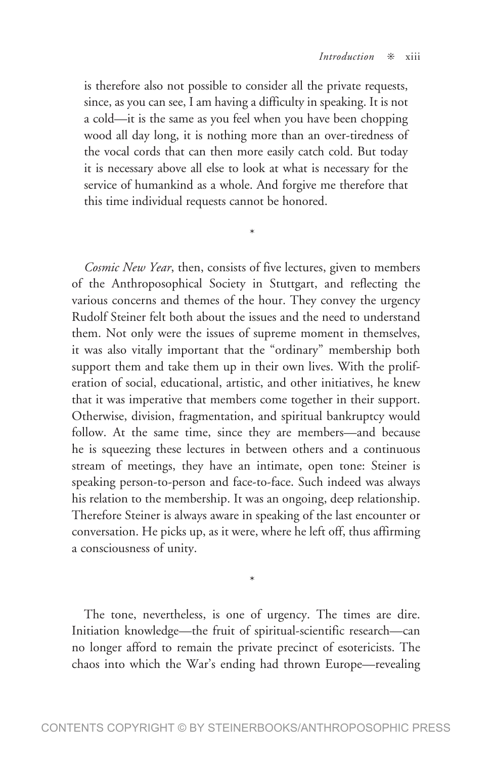is therefore also not possible to consider all the private requests, since, as you can see, I am having a difficulty in speaking. It is not a cold—it is the same as you feel when you have been chopping wood all day long, it is nothing more than an over-tiredness of the vocal cords that can then more easily catch cold. But today it is necessary above all else to look at what is necessary for the service of humankind as a whole. And forgive me therefore that this time individual requests cannot be honored.

\*

*Cosmic New Year*, then, consists of five lectures, given to members of the Anthroposophical Society in Stuttgart, and reflecting the various concerns and themes of the hour. They convey the urgency Rudolf Steiner felt both about the issues and the need to understand them. Not only were the issues of supreme moment in themselves, it was also vitally important that the "ordinary" membership both support them and take them up in their own lives. With the proliferation of social, educational, artistic, and other initiatives, he knew that it was imperative that members come together in their support. Otherwise, division, fragmentation, and spiritual bankruptcy would follow. At the same time, since they are members—and because he is squeezing these lectures in between others and a continuous stream of meetings, they have an intimate, open tone: Steiner is speaking person-to-person and face-to-face. Such indeed was always his relation to the membership. It was an ongoing, deep relationship. Therefore Steiner is always aware in speaking of the last encounter or conversation. He picks up, as it were, where he left off, thus affirming a consciousness of unity.

The tone, nevertheless, is one of urgency. The times are dire. Initiation knowledge—the fruit of spiritual-scientific research—can no longer afford to remain the private precinct of esotericists. The chaos into which the War's ending had thrown Europe—revealing

\*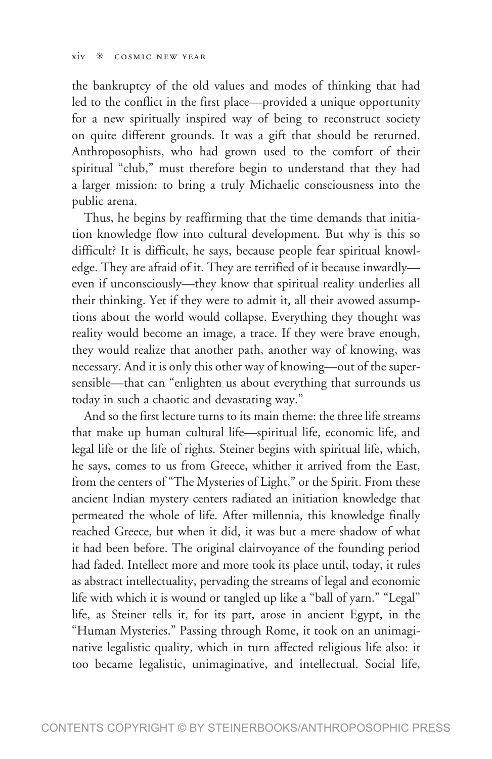the bankruptcy of the old values and modes of thinking that had led to the conflict in the first place—provided a unique opportunity for a new spiritually inspired way of being to reconstruct society on quite different grounds. It was a gift that should be returned. Anthroposophists, who had grown used to the comfort of their spiritual "club," must therefore begin to understand that they had a larger mission: to bring a truly Michaelic consciousness into the public arena.

Thus, he begins by reaffirming that the time demands that initiation knowledge flow into cultural development. But why is this so difficult? It is difficult, he says, because people fear spiritual knowledge. They are afraid of it. They are terrified of it because inwardly even if unconsciously—they know that spiritual reality underlies all their thinking. Yet if they were to admit it, all their avowed assumptions about the world would collapse. Everything they thought was reality would become an image, a trace. If they were brave enough, they would realize that another path, another way of knowing, was necessary. And it is only this other way of knowing—out of the supersensible—that can "enlighten us about everything that surrounds us today in such a chaotic and devastating way."

And so the first lecture turns to its main theme: the three life streams that make up human cultural life—spiritual life, economic life, and legal life or the life of rights. Steiner begins with spiritual life, which, he says, comes to us from Greece, whither it arrived from the East, from the centers of "The Mysteries of Light," or the Spirit. From these ancient Indian mystery centers radiated an initiation knowledge that permeated the whole of life. After millennia, this knowledge finally reached Greece, but when it did, it was but a mere shadow of what it had been before. The original clairvoyance of the founding period had faded. Intellect more and more took its place until, today, it rules as abstract intellectuality, pervading the streams of legal and economic life with which it is wound or tangled up like a "ball of yarn." "Legal" life, as Steiner tells it, for its part, arose in ancient Egypt, in the "Human Mysteries." Passing through Rome, it took on an unimaginative legalistic quality, which in turn affected religious life also: it too became legalistic, unimaginative, and intellectual. Social life,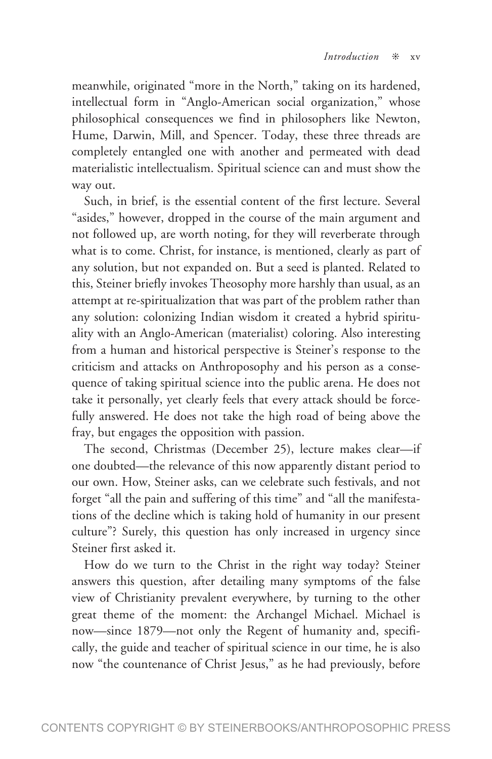meanwhile, originated "more in the North," taking on its hardened, intellectual form in "Anglo-American social organization," whose philosophical consequences we find in philosophers like Newton, Hume, Darwin, Mill, and Spencer. Today, these three threads are completely entangled one with another and permeated with dead materialistic intellectualism. Spiritual science can and must show the way out.

Such, in brief, is the essential content of the first lecture. Several "asides," however, dropped in the course of the main argument and not followed up, are worth noting, for they will reverberate through what is to come. Christ, for instance, is mentioned, clearly as part of any solution, but not expanded on. But a seed is planted. Related to this, Steiner briefly invokes Theosophy more harshly than usual, as an attempt at re-spiritualization that was part of the problem rather than any solution: colonizing Indian wisdom it created a hybrid spirituality with an Anglo-American (materialist) coloring. Also interesting from a human and historical perspective is Steiner's response to the criticism and attacks on Anthroposophy and his person as a consequence of taking spiritual science into the public arena. He does not take it personally, yet clearly feels that every attack should be forcefully answered. He does not take the high road of being above the fray, but engages the opposition with passion.

The second, Christmas (December 25), lecture makes clear—if one doubted—the relevance of this now apparently distant period to our own. How, Steiner asks, can we celebrate such festivals, and not forget "all the pain and suffering of this time" and "all the manifestations of the decline which is taking hold of humanity in our present culture"? Surely, this question has only increased in urgency since Steiner first asked it.

How do we turn to the Christ in the right way today? Steiner answers this question, after detailing many symptoms of the false view of Christianity prevalent everywhere, by turning to the other great theme of the moment: the Archangel Michael. Michael is now—since 1879—not only the Regent of humanity and, specifically, the guide and teacher of spiritual science in our time, he is also now "the countenance of Christ Jesus," as he had previously, before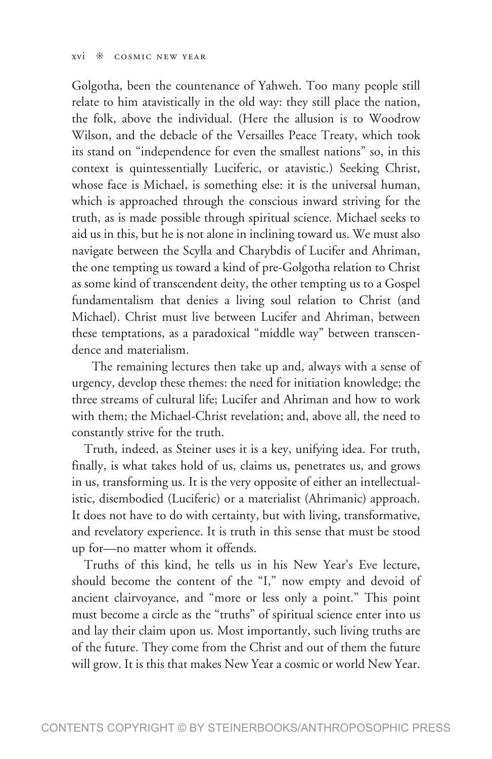Golgotha, been the countenance of Yahweh. Too many people still relate to him atavistically in the old way: they still place the nation, the folk, above the individual. (Here the allusion is to Woodrow Wilson, and the debacle of the Versailles Peace Treaty, which took its stand on "independence for even the smallest nations" so, in this context is quintessentially Luciferic, or atavistic.) Seeking Christ, whose face is Michael, is something else: it is the universal human, which is approached through the conscious inward striving for the truth, as is made possible through spiritual science. Michael seeks to aid us in this, but he is not alone in inclining toward us. We must also navigate between the Scylla and Charybdis of Lucifer and Ahriman, the one tempting us toward a kind of pre-Golgotha relation to Christ as some kind of transcendent deity, the other tempting us to a Gospel fundamentalism that denies a living soul relation to Christ (and Michael). Christ must live between Lucifer and Ahriman, between these temptations, as a paradoxical "middle way" between transcendence and materialism.

 The remaining lectures then take up and, always with a sense of urgency, develop these themes: the need for initiation knowledge; the three streams of cultural life; Lucifer and Ahriman and how to work with them; the Michael-Christ revelation; and, above all, the need to constantly strive for the truth.

Truth, indeed, as Steiner uses it is a key, unifying idea. For truth, finally, is what takes hold of us, claims us, penetrates us, and grows in us, transforming us. It is the very opposite of either an intellectualistic, disembodied (Luciferic) or a materialist (Ahrimanic) approach. It does not have to do with certainty, but with living, transformative, and revelatory experience. It is truth in this sense that must be stood up for—no matter whom it offends.

Truths of this kind, he tells us in his New Year's Eve lecture, should become the content of the "I," now empty and devoid of ancient clairvoyance, and "more or less only a point." This point must become a circle as the "truths" of spiritual science enter into us and lay their claim upon us. Most importantly, such living truths are of the future. They come from the Christ and out of them the future will grow. It is this that makes New Year a cosmic or world New Year.